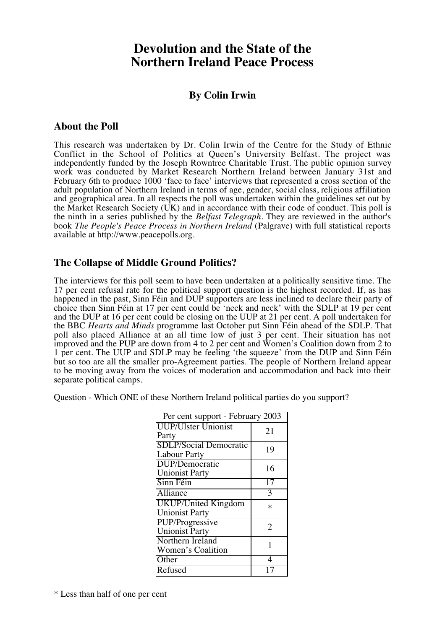# **Devolution and the State of the Northern Ireland Peace Process**

# **By Colin Irwin**

### **About the Poll**

This research was undertaken by Dr. Colin Irwin of the Centre for the Study of Ethnic Conflict in the School of Politics at Queen's University Belfast. The project was independently funded by the Joseph Rowntree Charitable Trust. The public opinion survey work was conducted by Market Research Northern Ireland between January 31st and February 6th to produce 1000 'face to face' interviews that represented a cross section of the adult population of Northern Ireland in terms of age, gender, social class, religious affiliation and geographical area. In all respects the poll was undertaken within the guidelines set out by the Market Research Society (UK) and in accordance with their code of conduct. This poll is the ninth in a series published by the *Belfast Telegraph*. They are reviewed in the author's book *The People's Peace Process in Northern Ireland* (Palgrave) with full statistical reports available at http://www.peacepolls.org.

# **The Collapse of Middle Ground Politics?**

The interviews for this poll seem to have been undertaken at a politically sensitive time. The 17 per cent refusal rate for the political support question is the highest recorded. If, as has happened in the past, Sinn Féin and DUP supporters are less inclined to declare their party of choice then Sinn Féin at 17 per cent could be 'neck and neck' with the SDLP at 19 per cent and the DUP at 16 per cent could be closing on the UUP at 21 per cent. A poll undertaken for the BBC *Hearts and Minds* programme last October put Sinn Féin ahead of the SDLP. That poll also placed Alliance at an all time low of just 3 per cent. Their situation has not improved and the PUP are down from 4 to 2 per cent and Women's Coalition down from 2 to 1 per cent. The UUP and SDLP may be feeling 'the squeeze' from the DUP and Sinn Féin but so too are all the smaller pro-Agreement parties. The people of Northern Ireland appear to be moving away from the voices of moderation and accommodation and back into their separate political camps.

Question - Which ONE of these Northern Ireland political parties do you support?

| Per cent support - February 2003 |    |
|----------------------------------|----|
| <b>UUP/Ulster Unionist</b>       | 21 |
| Party                            |    |
| <b>SDLP/Social Democratic</b>    | 19 |
| <b>Labour Party</b>              |    |
| DUP/Democratic                   | 16 |
| <b>Unionist Party</b>            |    |
| Sinn Féin                        | 17 |
| Alliance                         | 3  |
| <b>UKUP/United Kingdom</b>       | ∗  |
| <b>Unionist Party</b>            |    |
| PUP/Progressive                  | 2  |
| <b>Unionist Party</b>            |    |
| Northern Ireland                 |    |
| Women's Coalition                |    |
| Other                            | 4  |
| Refused                          |    |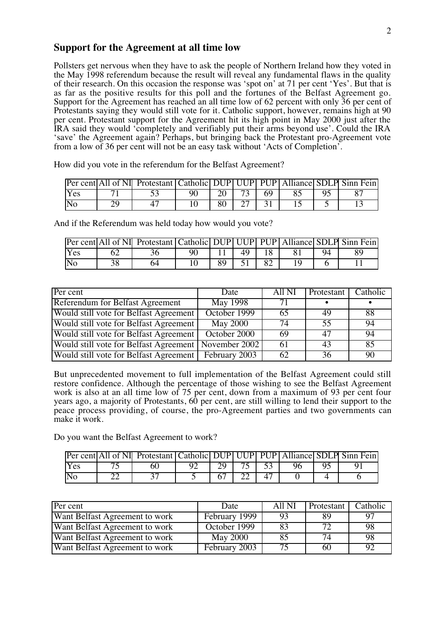#### **Support for the Agreement at all time low**

Pollsters get nervous when they have to ask the people of Northern Ireland how they voted in the May 1998 referendum because the result will reveal any fundamental flaws in the quality of their research. On this occasion the response was 'spot on' at 71 per cent 'Yes'. But that is as far as the positive results for this poll and the fortunes of the Belfast Agreement go. Support for the Agreement has reached an all time low of 62 percent with only 36 per cent of Protestants saying they would still vote for it. Catholic support, however, remains high at 90 per cent. Protestant support for the Agreement hit its high point in May 2000 just after the IRA said they would 'completely and verifiably put their arms beyond use'. Could the IRA 'save' the Agreement again? Perhaps, but bringing back the Protestant pro-Agreement vote from a low of 36 per cent will not be an easy task without 'Acts of Completion'.

How did you vote in the referendum for the Belfast Agreement?

|     | Per cent All of NI Protestant Catholic DUP UUP PUP Alliance SDLP Sinn Fein |    |    |    |  |  |
|-----|----------------------------------------------------------------------------|----|----|----|--|--|
| Yes |                                                                            | 90 |    | 69 |  |  |
| No  |                                                                            |    | 80 |    |  |  |

And if the Referendum was held today how would you vote?

|     | Per cent All of NI Protestant Catholic DUP UUP PUP Alliance SDLP Sinn Fein |  |    |  |  |
|-----|----------------------------------------------------------------------------|--|----|--|--|
| Yes |                                                                            |  | 49 |  |  |
| Νc  |                                                                            |  |    |  |  |

| Per cent                               | Date            | All NI | Protestant | Catholic |
|----------------------------------------|-----------------|--------|------------|----------|
| Referendum for Belfast Agreement       | <b>May 1998</b> | 71     |            |          |
| Would still vote for Belfast Agreement | October 1999    | 65     | 49         | 88       |
| Would still vote for Belfast Agreement | <b>May 2000</b> | 74     | 55         | 94       |
| Would still vote for Belfast Agreement | October 2000    | 69     | 47         | 94       |
| Would still vote for Belfast Agreement | November 2002   | -61    | 43         | 85       |
| Would still vote for Belfast Agreement | February 2003   | 62     | 36         | 90       |

But unprecedented movement to full implementation of the Belfast Agreement could still restore confidence. Although the percentage of those wishing to see the Belfast Agreement work is also at an all time low of 75 per cent, down from a maximum of 93 per cent four years ago, a majority of Protestants, 60 per cent, are still willing to lend their support to the peace process providing, of course, the pro-Agreement parties and two governments can make it work.

Do you want the Belfast Agreement to work?

|            | <b>Per cent All of NI Protestant Catholic DUP UUP PUP Alliance SDLP Sinn Fein</b> |  |           |  |  |
|------------|-----------------------------------------------------------------------------------|--|-----------|--|--|
| <b>Yes</b> |                                                                                   |  | 75 I 53 I |  |  |
|            |                                                                                   |  |           |  |  |

| Per cent                       | Date            | All NI | Protestant | Catholic |
|--------------------------------|-----------------|--------|------------|----------|
| Want Belfast Agreement to work | February 1999   | 93     | 89         | 97       |
| Want Belfast Agreement to work | October 1999    | 83     | 72         | 98       |
| Want Belfast Agreement to work | <b>May 2000</b> | 85     | 74         | 98       |
| Want Belfast Agreement to work | February 2003   | 75     | 60         | 92       |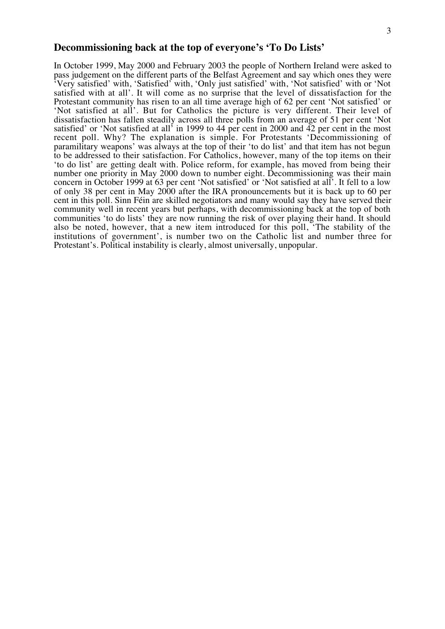#### **Decommissioning back at the top of everyone's 'To Do Lists'**

In October 1999, May 2000 and February 2003 the people of Northern Ireland were asked to pass judgement on the different parts of the Belfast Agreement and say which ones they were 'Very satisfied' with, 'Satisfied' with, 'Only just satisfied' with, 'Not satisfied' with or 'Not satisfied with at all'. It will come as no surprise that the level of dissatisfaction for the Protestant community has risen to an all time average high of 62 per cent 'Not satisfied' or 'Not satisfied at all'. But for Catholics the picture is very different. Their level of dissatisfaction has fallen steadily across all three polls from an average of 51 per cent 'Not satisfied' or 'Not satisfied at all' in 1999 to 44 per cent in 2000 and 42 per cent in the most recent poll. Why? The explanation is simple. For Protestants 'Decommissioning of paramilitary weapons' was always at the top of their 'to do list' and that item has not begun to be addressed to their satisfaction. For Catholics, however, many of the top items on their 'to do list' are getting dealt with. Police reform, for example, has moved from being their number one priority in May 2000 down to number eight. Decommissioning was their main concern in October 1999 at 63 per cent 'Not satisfied' or 'Not satisfied at all'. It fell to a low of only 38 per cent in May 2000 after the IRA pronouncements but it is back up to 60 per cent in this poll. Sinn Féin are skilled negotiators and many would say they have served their community well in recent years but perhaps, with decommissioning back at the top of both communities 'to do lists' they are now running the risk of over playing their hand. It should also be noted, however, that a new item introduced for this poll, 'The stability of the institutions of government', is number two on the Catholic list and number three for Protestant's. Political instability is clearly, almost universally, unpopular.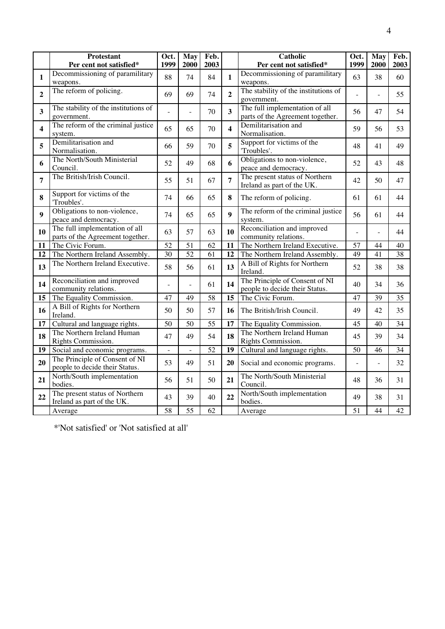|                         | <b>Protestant</b><br>Per cent not satisfied*                       | Oct.<br>1999             | May<br>2000     | Feb.<br>2003 |                         | <b>Catholic</b><br>Per cent not satisfied*                         |                | May<br>2000 | Feb.<br>2003 |
|-------------------------|--------------------------------------------------------------------|--------------------------|-----------------|--------------|-------------------------|--------------------------------------------------------------------|----------------|-------------|--------------|
| $\mathbf{1}$            | Decommissioning of paramilitary<br>weapons.                        | 88                       | 74              | 84           | $\mathbf{1}$            | Decommissioning of paramilitary<br>weapons.                        | 63             | 38          | 60           |
| $\overline{2}$          | The reform of policing.                                            | 69                       | 69              | 74           | $\overline{2}$          | The stability of the institutions of<br>government.                |                |             | 55           |
| $\overline{\mathbf{3}}$ | The stability of the institutions of<br>government.                |                          |                 | 70           | 3                       | The full implementation of all<br>parts of the Agreement together. | 56             | 47          | 54           |
| $\overline{\mathbf{4}}$ | The reform of the criminal justice<br>system.                      | 65                       | 65              | 70           | $\overline{\mathbf{4}}$ | Demilitarisation and<br>Normalisation.                             | 59             | 56          | 53           |
| 5                       | Demilitarisation and<br>Normalisation.                             | 66                       | 59              | 70           | 5                       | Support for victims of the<br>'Troubles'.                          | 48             | 41          | 49           |
| 6                       | The North/South Ministerial<br>Council.                            | 52                       | 49              | 68           | 6                       | Obligations to non-violence,<br>peace and democracy.               | 52             | 43          | 48           |
| $\overline{7}$          | The British/Irish Council.                                         | 55                       | 51              | 67           | $\overline{7}$          | The present status of Northern<br>Ireland as part of the UK.       | 42             | 50          | 47           |
| 8                       | Support for victims of the<br>'Troubles'.                          | 74                       | 66              | 65           | 8                       | The reform of policing.                                            | 61             | 61          | 44           |
| $\boldsymbol{9}$        | Obligations to non-violence,<br>peace and democracy.               | 74                       | 65              | 65           | $\boldsymbol{9}$        | The reform of the criminal justice<br>system.                      | 56             | 61          | 44           |
| 10                      | The full implementation of all<br>parts of the Agreement together. | 63                       | 57              | 63           | 10                      | Reconciliation and improved<br>community relations.                | $\overline{a}$ |             | 44           |
| 11                      | The Civic Forum.                                                   | 52                       | 51              | 62           | 11                      | The Northern Ireland Executive.                                    | 57             | 44          | 40           |
| 12                      | The Northern Ireland Assembly.                                     | $\overline{30}$          | $\overline{52}$ | 61           | 12                      | The Northern Ireland Assembly.                                     | 49             | 41          | 38           |
| 13                      | The Northern Ireland Executive.                                    | 58                       | 56              | 61           | 13                      | A Bill of Rights for Northern<br>Ireland.                          | 52             | 38          | 38           |
| 14                      | Reconciliation and improved<br>community relations.                |                          | L               | 61           | 14                      | The Principle of Consent of NI<br>people to decide their Status.   | 40             | 34          | 36           |
| 15                      | The Equality Commission.                                           | 47                       | 49              | 58           | 15                      | The Civic Forum.                                                   | 47             | 39          | 35           |
| 16                      | A Bill of Rights for Northern<br>Ireland.                          | 50                       | 50              | 57           | 16                      | The British/Irish Council.                                         | 49             | 42          | 35           |
| 17                      | Cultural and language rights.                                      | 50                       | 50              | 55           | 17                      | The Equality Commission.                                           | 45             | 40          | 34           |
| 18                      | The Northern Ireland Human<br>Rights Commission.                   | 47                       | 49              | 54           | 18                      | The Northern Ireland Human<br>Rights Commission.                   | 45             | 39          | 34           |
| 19                      | Social and economic programs.                                      | $\overline{\phantom{a}}$ | $\blacksquare$  | 52           | 19                      | Cultural and language rights.                                      | 50             | 46          | 34           |
| 20                      | The Principle of Consent of NI<br>people to decide their Status.   | 53                       | 49              | 51           | 20                      | Social and economic programs.                                      | $\overline{a}$ | L,          | 32           |
| 21                      | North/South implementation<br>bodies.                              | 56                       | 51              | 50           | 21                      | The North/South Ministerial<br>Council.                            | 48             | 36          | 31           |
| 22                      | The present status of Northern<br>Ireland as part of the UK.       | 43                       | 39              | 40           | 22                      | North/South implementation<br>bodies.                              | 49             | 38          | 31           |
|                         | Average                                                            | 58                       | 55              | 62           |                         | Average                                                            | 51             | 44          | 42           |

\*'Not satisfied' or 'Not satisfied at all'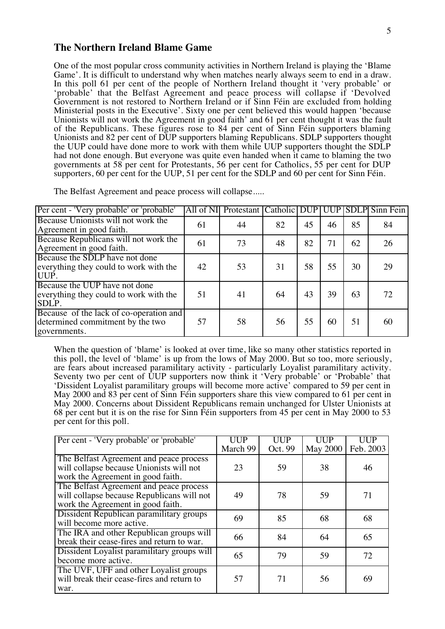#### **The Northern Ireland Blame Game**

One of the most popular cross community activities in Northern Ireland is playing the 'Blame Game'. It is difficult to understand why when matches nearly always seem to end in a draw. In this poll 61 per cent of the people of Northern Ireland thought it 'very probable' or 'probable' that the Belfast Agreement and peace process will collapse if 'Devolved Government is not restored to Northern Ireland or if Sinn Féin are excluded from holding Ministerial posts in the Executive'. Sixty one per cent believed this would happen 'because Unionists will not work the Agreement in good faith' and 61 per cent thought it was the fault of the Republicans. These figures rose to 84 per cent of Sinn Féin supporters blaming Unionists and 82 per cent of DUP supporters blaming Republicans. SDLP supporters thought the UUP could have done more to work with them while UUP supporters thought the SDLP had not done enough. But everyone was quite even handed when it came to blaming the two governments at 58 per cent for Protestants, 56 per cent for Catholics, 55 per cent for DUP supporters, 60 per cent for the UUP, 51 per cent for the SDLP and 60 per cent for Sinn Féin.

| Per cent - 'Very probable' or 'probable'                                                    |    | All of NI Protestant Catholic DUP UUP SDLP Sinn Fein |    |    |    |    |    |
|---------------------------------------------------------------------------------------------|----|------------------------------------------------------|----|----|----|----|----|
| Because Unionists will not work the<br>Agreement in good faith.                             | 61 | 44                                                   | 82 | 45 | 46 | 85 | 84 |
| Because Republicans will not work the<br>Agreement in good faith.                           | 61 | 73                                                   | 48 | 82 | 71 | 62 | 26 |
| Because the SDLP have not done<br>everything they could to work with the<br>UUP.            | 42 | 53                                                   | 31 | 58 | 55 | 30 | 29 |
| Because the UUP have not done<br>everything they could to work with the<br>SDLP.            | 51 | 41                                                   | 64 | 43 | 39 | 63 | 72 |
| Because of the lack of co-operation and<br>determined commitment by the two<br>governments. | 57 | 58                                                   | 56 | 55 | 60 | 51 | 60 |

The Belfast Agreement and peace process will collapse.....

When the question of 'blame' is looked at over time, like so many other statistics reported in this poll, the level of 'blame' is up from the lows of May 2000. But so too, more seriously, are fears about increased paramilitary activity - particularly Loyalist paramilitary activity. Seventy two per cent of UUP supporters now think it 'Very probable' or 'Probable' that 'Dissident Loyalist paramilitary groups will become more active' compared to 59 per cent in May 2000 and 83 per cent of Sinn Féin supporters share this view compared to 61 per cent in May 2000. Concerns about Dissident Republicans remain unchanged for Ulster Unionists at 68 per cent but it is on the rise for Sinn Féin supporters from 45 per cent in May 2000 to 53 per cent for this poll.

| Per cent - 'Very probable' or 'probable'                                                                                   | UUP<br>March 99 | UUP<br>Oct. 99 | UUP<br><b>May 2000</b> | UUP<br>Feb. 2003 |
|----------------------------------------------------------------------------------------------------------------------------|-----------------|----------------|------------------------|------------------|
| The Belfast Agreement and peace process<br>will collapse because Unionists will not<br>work the Agreement in good faith.   | 23              | 59             | 38                     | 46               |
| The Belfast Agreement and peace process<br>will collapse because Republicans will not<br>work the Agreement in good faith. | 49              | 78             | 59                     | 71               |
| Dissident Republican paramilitary groups<br>will become more active.                                                       | 69              | 85             | 68                     | 68               |
| The IRA and other Republican groups will<br>break their cease-fires and return to war.                                     | 66              | 84             | 64                     | 65               |
| Dissident Loyalist paramilitary groups will<br>become more active.                                                         | 65              | 79             | 59                     | 72               |
| The UVF, UFF and other Loyalist groups<br>will break their cease-fires and return to<br>war.                               | 57              | 71             | 56                     | 69               |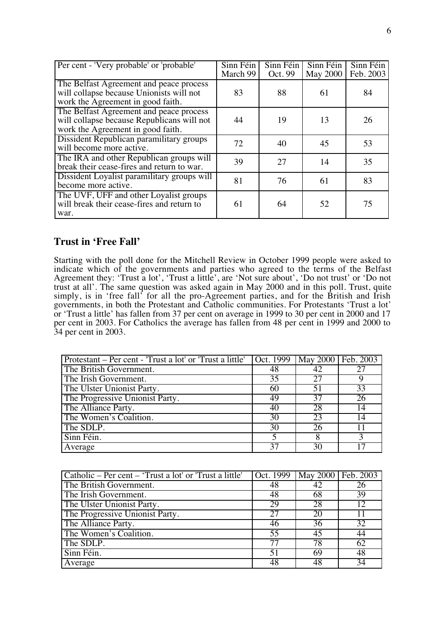| Per cent - 'Very probable' or 'probable'                                                                                   | Sinn Féin<br>March 99 | Sinn Féin<br>Oct. 99 | Sinn Féin<br><b>May 2000</b> | Sinn Féin<br>Feb. 2003 |
|----------------------------------------------------------------------------------------------------------------------------|-----------------------|----------------------|------------------------------|------------------------|
| The Belfast Agreement and peace process<br>will collapse because Unionists will not<br>work the Agreement in good faith.   | 83                    | 88                   | 61                           | 84                     |
| The Belfast Agreement and peace process<br>will collapse because Republicans will not<br>work the Agreement in good faith. | 44                    | 19                   | 13                           | 26                     |
| Dissident Republican paramilitary groups<br>will become more active.                                                       | 72                    | 40                   | 45                           | 53                     |
| The IRA and other Republican groups will<br>break their cease-fires and return to war.                                     | 39                    | 27                   | 14                           | 35                     |
| Dissident Loyalist paramilitary groups will<br>become more active.                                                         | 81                    | 76                   | 61                           | 83                     |
| The UVF, UFF and other Loyalist groups<br>will break their cease-fires and return to<br>war.                               | 61                    | 64                   | 52                           | 75                     |

### **Trust in 'Free Fall'**

Starting with the poll done for the Mitchell Review in October 1999 people were asked to indicate which of the governments and parties who agreed to the terms of the Belfast Agreement they: 'Trust a lot', 'Trust a little', are 'Not sure about', 'Do not trust' or 'Do not trust at all'. The same question was asked again in May 2000 and in this poll. Trust, quite simply, is in 'free fall' for all the pro-Agreement parties, and for the British and Irish governments, in both the Protestant and Catholic communities. For Protestants 'Trust a lot' or 'Trust a little' has fallen from 37 per cent on average in 1999 to 30 per cent in 2000 and 17 per cent in 2003. For Catholics the average has fallen from 48 per cent in 1999 and 2000 to 34 per cent in 2003.

| Protestant – Per cent - 'Trust a lot' or 'Trust a little' | $\vert$ Oct. 1999   May 2000   Feb. 2003 |    |    |
|-----------------------------------------------------------|------------------------------------------|----|----|
| The British Government.                                   | 48                                       |    |    |
| The Irish Government.                                     | 35                                       | 27 |    |
| The Ulster Unionist Party.                                | 60                                       | 51 | 33 |
| The Progressive Unionist Party.                           | 49                                       | 37 | 26 |
| The Alliance Party.                                       | 40                                       | 28 | 14 |
| The Women's Coalition.                                    | 30                                       | 23 | 14 |
| The SDLP.                                                 | 30                                       | 26 |    |
| Sinn Féin.                                                |                                          |    |    |
| Average                                                   |                                          |    |    |

| Catholic – Per cent – 'Trust a lot' or 'Trust a little' |    | Oct. 1999   May 2000   Feb. 2003 |                 |
|---------------------------------------------------------|----|----------------------------------|-----------------|
| The British Government.                                 | 48 | 42                               | 26              |
| The Irish Government.                                   | 48 | 68                               | 39              |
| The Ulster Unionist Party.                              | 29 | 28                               | $\overline{12}$ |
| The Progressive Unionist Party.                         | 27 | 20                               | 11              |
| The Alliance Party.                                     | 46 | 36                               | 32              |
| The Women's Coalition.                                  | 55 | 45                               | 44              |
| The SDLP.                                               | 77 | 78                               | 62              |
| Sinn Féin.                                              | 51 | 69                               | 48              |
| Average                                                 | 48 | 48                               | $\overline{34}$ |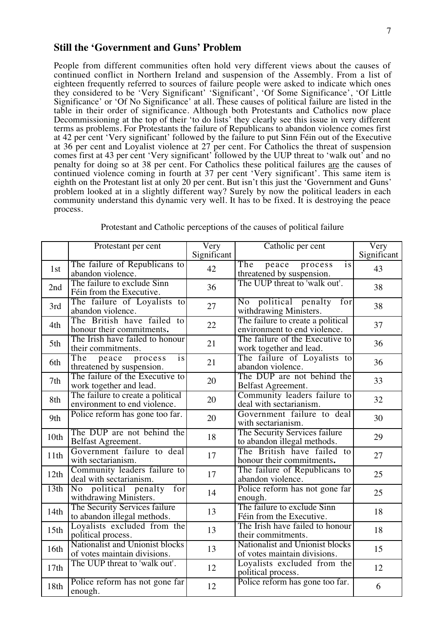#### **Still the 'Government and Guns' Problem**

People from different communities often hold very different views about the causes of continued conflict in Northern Ireland and suspension of the Assembly. From a list of eighteen frequently referred to sources of failure people were asked to indicate which ones they considered to be 'Very Significant' 'Significant', 'Of Some Significance', 'Of Little Significance' or 'Of No Significance' at all. These causes of political failure are listed in the table in their order of significance. Although both Protestants and Catholics now place Decommissioning at the top of their 'to do lists' they clearly see this issue in very different terms as problems. For Protestants the failure of Republicans to abandon violence comes first at 42 per cent 'Very significant' followed by the failure to put Sinn Féin out of the Executive at 36 per cent and Loyalist violence at 27 per cent. For Catholics the threat of suspension comes first at 43 per cent 'Very significant' followed by the UUP threat to 'walk out' and no penalty for doing so at 38 per cent. For Catholics these political failures are the causes of continued violence coming in fourth at 37 per cent 'Very significant'. This same item is eighth on the Protestant list at only 20 per cent. But isn't this just the 'Government and Guns' problem looked at in a slightly different way? Surely by now the political leaders in each community understand this dynamic very well. It has to be fixed. It is destroying the peace process.

|                  | Protestant per cent                                               | Very        | Catholic per cent                                                 | Very        |
|------------------|-------------------------------------------------------------------|-------------|-------------------------------------------------------------------|-------------|
|                  |                                                                   | Significant |                                                                   | Significant |
| 1st              | The failure of Republicans to<br>abandon violence.                | 42          | The<br>peace<br>process<br>is<br>threatened by suspension.        | 43          |
| 2nd              | The failure to exclude Sinn<br>Féin from the Executive.           | 36          | The UUP threat to 'walk out'.                                     | 38          |
| 3rd              | The failure of Loyalists to<br>abandon violence.                  | 27          | No political penalty<br>for<br>withdrawing Ministers.             | 38          |
| 4th              | The British have failed to<br>honour their commitments.           | 22          | The failure to create a political<br>environment to end violence. | 37          |
| 5th              | The Irish have failed to honour<br>their commitments.             | 21          | The failure of the Executive to<br>work together and lead.        | 36          |
| 6th              | The<br>peace<br>process<br>is<br>threatened by suspension.        | 21          | The failure of Loyalists to<br>abandon violence.                  | 36          |
| 7th              | The failure of the Executive to<br>work together and lead.        | 20          | The DUP are not behind the<br>Belfast Agreement.                  | 33          |
| 8th              | The failure to create a political<br>environment to end violence. | 20          | Community leaders failure to<br>deal with sectarianism.           | 32          |
| 9th              | Police reform has gone too far.                                   | 20          | Government failure to deal<br>with sectarianism.                  | 30          |
| 10th             | The DUP are not behind the<br>Belfast Agreement.                  | 18          | The Security Services failure<br>to abandon illegal methods.      | 29          |
| 11th             | Government failure to deal<br>with sectarianism.                  | 17          | The British have failed to<br>honour their commitments.           | 27          |
| 12th             | Community leaders failure to<br>deal with sectarianism.           | 17          | The failure of Republicans to<br>abandon violence.                | 25          |
| 13th             | No political penalty<br>for<br>withdrawing Ministers.             | 14          | Police reform has not gone far<br>enough.                         | 25          |
| 14th             | The Security Services failure<br>to abandon illegal methods.      | 13          | The failure to exclude Sinn<br>Féin from the Executive.           | 18          |
| 15 <sup>th</sup> | Loyalists excluded from the<br>political process.                 | 13          | The Irish have failed to honour<br>their commitments.             | 18          |
| 16th             | Nationalist and Unionist blocks<br>of votes maintain divisions.   | 13          | Nationalist and Unionist blocks<br>of votes maintain divisions.   | 15          |
| 17th             | The UUP threat to 'walk out'.                                     | 12          | Loyalists excluded from the<br>political process.                 | 12          |
| 18th             | Police reform has not gone far<br>enough.                         | 12          | Police reform has gone too far.                                   | 6           |

Protestant and Catholic perceptions of the causes of political failure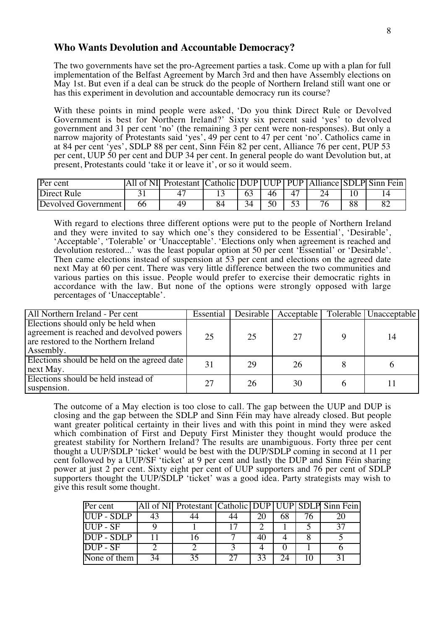#### **Who Wants Devolution and Accountable Democracy?**

The two governments have set the pro-Agreement parties a task. Come up with a plan for full implementation of the Belfast Agreement by March 3rd and then have Assembly elections on May 1st. But even if a deal can be struck do the people of Northern Ireland still want one or has this experiment in devolution and accountable democracy run its course?

With these points in mind people were asked, 'Do you think Direct Rule or Devolved Government is best for Northern Ireland?' Sixty six percent said 'yes' to devolved government and 31 per cent 'no' (the remaining 3 per cent were non-responses). But only a narrow majority of Protestants said 'yes', 49 per cent to 47 per cent 'no'. Catholics came in at 84 per cent 'yes', SDLP 88 per cent, Sinn Féin 82 per cent, Alliance 76 per cent, PUP 53 per cent, UUP 50 per cent and DUP 34 per cent. In general people do want Devolution but, at present, Protestants could 'take it or leave it', or so it would seem.

| Per cent            |    | All of NI Protestant Catholic DUP UUP PUP Alliance SDLP Sinn Fein |    |    |  |    |  |
|---------------------|----|-------------------------------------------------------------------|----|----|--|----|--|
| <b>Direct Rule</b>  |    |                                                                   |    | 46 |  |    |  |
| Devolved Government | 66 |                                                                   | 34 |    |  | 88 |  |

With regard to elections three different options were put to the people of Northern Ireland and they were invited to say which one's they considered to be Essential', 'Desirable', 'Acceptable', 'Tolerable' or 'Unacceptable'. 'Elections only when agreement is reached and devolution restored...' was the least popular option at 50 per cent 'Essential' or 'Desirable'. Then came elections instead of suspension at 53 per cent and elections on the agreed date next May at 60 per cent. There was very little difference between the two communities and various parties on this issue. People would prefer to exercise their democratic rights in accordance with the law. But none of the options were strongly opposed with large percentages of 'Unacceptable'.

| All Northern Ireland - Per cent                                                                                                     | Essential |    | Desirable Acceptable | Tolerable Unacceptable |
|-------------------------------------------------------------------------------------------------------------------------------------|-----------|----|----------------------|------------------------|
| Elections should only be held when<br>agreement is reached and devolved powers<br>are restored to the Northern Ireland<br>Assembly. | 25        | 25 | 27                   | 14                     |
| Elections should be held on the agreed date<br>next May.                                                                            | 31        | 29 | 26                   |                        |
| Elections should be held instead of<br>suspension.                                                                                  | 27        | 26 | 30                   |                        |

The outcome of a May election is too close to call. The gap between the UUP and DUP is closing and the gap between the SDLP and Sinn Féin may have already closed. But people want greater political certainty in their lives and with this point in mind they were asked which combination of First and Deputy First Minister they thought would produce the greatest stability for Northern Ireland? The results are unambiguous. Forty three per cent thought a UUP/SDLP 'ticket' would be best with the DUP/SDLP coming in second at 11 per cent followed by a UUP/SF 'ticket' at 9 per cent and lastly the DUP and Sinn Féin sharing power at just 2 per cent. Sixty eight per cent of UUP supporters and 76 per cent of SDLP supporters thought the UUP/SDLP 'ticket' was a good idea. Party strategists may wish to give this result some thought.

| Per cent                                  |    | All of NI Protestant Catholic DUP UUP SDLP Sinn Fein |    |  |  |
|-------------------------------------------|----|------------------------------------------------------|----|--|--|
| UUP - SDLP                                | 43 |                                                      |    |  |  |
| $\overline{UUP}$ - SF                     |    |                                                      |    |  |  |
| $\overline{DUP}$ - SDLP                   |    |                                                      |    |  |  |
| $\overline{\mathrm{DUP}}$ - $\mathrm{SF}$ |    |                                                      |    |  |  |
| None of them                              |    |                                                      | 33 |  |  |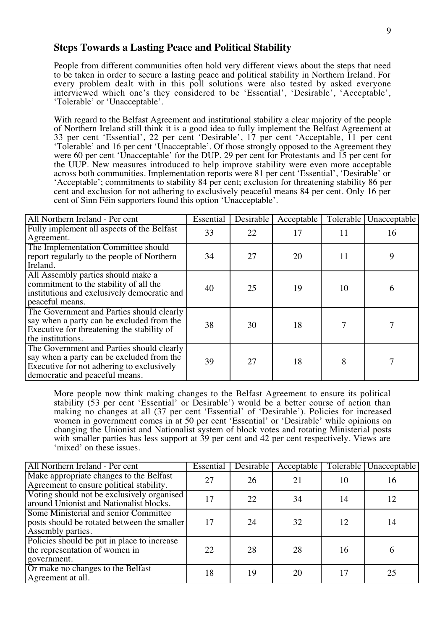### **Steps Towards a Lasting Peace and Political Stability**

People from different communities often hold very different views about the steps that need to be taken in order to secure a lasting peace and political stability in Northern Ireland. For every problem dealt with in this poll solutions were also tested by asked everyone interviewed which one's they considered to be 'Essential', 'Desirable', 'Acceptable', 'Tolerable' or 'Unacceptable'.

With regard to the Belfast Agreement and institutional stability a clear majority of the people of Northern Ireland still think it is a good idea to fully implement the Belfast Agreement at 33 per cent 'Essential', 22 per cent 'Desirable', 17 per cent 'Acceptable, 11 per cent 'Tolerable' and 16 per cent 'Unacceptable'. Of those strongly opposed to the Agreement they were 60 per cent 'Unacceptable' for the DUP, 29 per cent for Protestants and 15 per cent for the UUP. New measures introduced to help improve stability were even more acceptable across both communities. Implementation reports were 81 per cent 'Essential', 'Desirable' or 'Acceptable'; commitments to stability 84 per cent; exclusion for threatening stability 86 per cent and exclusion for not adhering to exclusively peaceful means 84 per cent. Only 16 per cent of Sinn Féin supporters found this option 'Unacceptable'.

| All Northern Ireland - Per cent                                                                                                                                       | Essential | <b>Desirable</b> | Acceptable | Tolerable | Unacceptable |
|-----------------------------------------------------------------------------------------------------------------------------------------------------------------------|-----------|------------------|------------|-----------|--------------|
| Fully implement all aspects of the Belfast<br>Agreement.                                                                                                              | 33        | 22               | 17         | 11        | 16           |
| The Implementation Committee should<br>report regularly to the people of Northern<br>Ireland.                                                                         | 34        | 27               | 20         | 11        | 9            |
| All Assembly parties should make a<br>commitment to the stability of all the<br>institutions and exclusively democratic and<br>peaceful means.                        | 40        | 25               | 19         | 10        | 6            |
| The Government and Parties should clearly<br>say when a party can be excluded from the<br>Executive for threatening the stability of<br>the institutions.             | 38        | 30               | 18         |           |              |
| The Government and Parties should clearly<br>say when a party can be excluded from the<br>Executive for not adhering to exclusively<br>democratic and peaceful means. | 39        | 27               | 18         | 8         |              |

More people now think making changes to the Belfast Agreement to ensure its political stability (53 per cent 'Essential' or Desirable') would be a better course of action than making no changes at all (37 per cent 'Essential' of 'Desirable'). Policies for increased women in government comes in at 50 per cent 'Essential' or 'Desirable' while opinions on changing the Unionist and Nationalist system of block votes and rotating Ministerial posts with smaller parties has less support at 39 per cent and 42 per cent respectively. Views are 'mixed' on these issues.

| All Northern Ireland - Per cent                                                                           | Essential | <b>Desirable</b> | Acceptable |    | Tolerable Unacceptable |
|-----------------------------------------------------------------------------------------------------------|-----------|------------------|------------|----|------------------------|
| Make appropriate changes to the Belfast<br>Agreement to ensure political stability.                       | 27        | 26               | 21         | 10 | 16                     |
| Voting should not be exclusively organised<br>around Unionist and Nationalist blocks.                     | 17        | 22               | 34         | 14 | 12                     |
| Some Ministerial and senior Committee<br>posts should be rotated between the smaller<br>Assembly parties. | 17        | 24               | 32         | 12 | 14                     |
| Policies should be put in place to increase<br>the representation of women in<br>government.              | 22        | 28               | 28         | 16 | 6                      |
| Or make no changes to the Belfast<br>Agreement at all.                                                    | 18        | 19               | 20         | 17 | 25                     |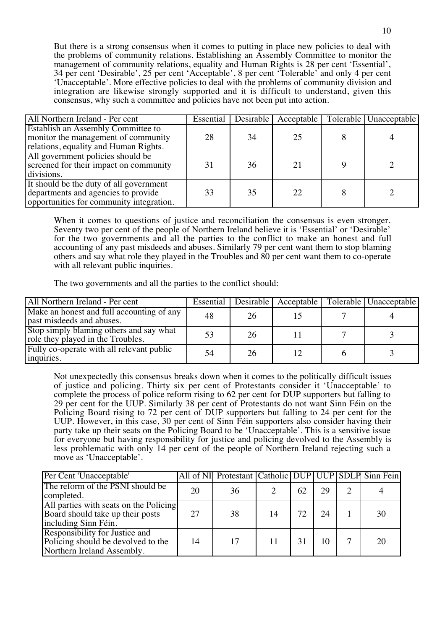But there is a strong consensus when it comes to putting in place new policies to deal with the problems of community relations. Establishing an Assembly Committee to monitor the management of community relations, equality and Human Rights is 28 per cent 'Essential', 34 per cent 'Desirable', 25 per cent 'Acceptable', 8 per cent 'Tolerable' and only 4 per cent 'Unacceptable'. More effective policies to deal with the problems of community division and integration are likewise strongly supported and it is difficult to understand, given this consensus, why such a committee and policies have not been put into action.

| All Northern Ireland - Per cent                                                                                            | Essential | $\overline{\text{Desirable}}$ | Acceptable | Tolerable   Unacceptable |
|----------------------------------------------------------------------------------------------------------------------------|-----------|-------------------------------|------------|--------------------------|
| Establish an Assembly Committee to<br>monitor the management of community<br>relations, equality and Human Rights.         | 28        | 34                            | 25         |                          |
| All government policies should be<br>screened for their impact on community<br>divisions.                                  | 31        | 36                            | 21         |                          |
| It should be the duty of all government<br>departments and agencies to provide<br>opportunities for community integration. | 33        | 35                            | 22         |                          |

When it comes to questions of justice and reconciliation the consensus is even stronger. Seventy two per cent of the people of Northern Ireland believe it is 'Essential' or 'Desirable' for the two governments and all the parties to the conflict to make an honest and full accounting of any past misdeeds and abuses. Similarly 79 per cent want them to stop blaming others and say what role they played in the Troubles and 80 per cent want them to co-operate with all relevant public inquiries.

The two governments and all the parties to the conflict should:

| All Northern Ireland - Per cent                                              | Essential |    | Desirable   Acceptable | Tolerable   Unacceptable |
|------------------------------------------------------------------------------|-----------|----|------------------------|--------------------------|
| Make an honest and full accounting of any<br>past misdeeds and abuses.       | 48        | 26 |                        |                          |
| Stop simply blaming others and say what<br>role they played in the Troubles. | 53        | 26 |                        |                          |
| Fully co-operate with all relevant public<br>inquiries.                      | 54        | 26 |                        |                          |

Not unexpectedly this consensus breaks down when it comes to the politically difficult issues of justice and policing. Thirty six per cent of Protestants consider it 'Unacceptable' to complete the process of police reform rising to 62 per cent for DUP supporters but falling to 29 per cent for the UUP. Similarly 38 per cent of Protestants do not want Sinn Féin on the Policing Board rising to 72 per cent of DUP supporters but falling to 24 per cent for the UUP. However, in this case, 30 per cent of Sinn Féin supporters also consider having their party take up their seats on the Policing Board to be 'Unacceptable'. This is a sensitive issue for everyone but having responsibility for justice and policing devolved to the Assembly is less problematic with only 14 per cent of the people of Northern Ireland rejecting such a move as 'Unacceptable'.

| Per Cent 'Unacceptable'                                                                            |    | All of NI Protestant Catholic DUP UUP SDLP Sinn Fein |    |    |    |    |
|----------------------------------------------------------------------------------------------------|----|------------------------------------------------------|----|----|----|----|
| The reform of the PSNI should be<br>completed.                                                     | 20 | 36                                                   |    | 62 | 29 |    |
| All parties with seats on the Policing<br>Board should take up their posts<br>including Sinn Féin. | 27 | 38                                                   | 14 | 72 | 24 | 30 |
| Responsibility for Justice and<br>Policing should be devolved to the<br>Northern Ireland Assembly. | 14 | 17                                                   | 11 | 31 |    | 20 |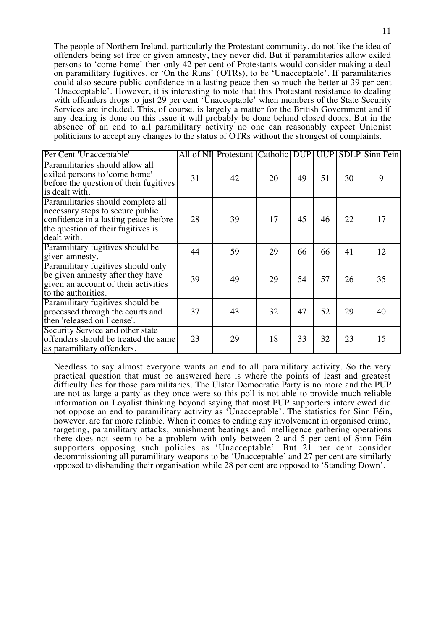The people of Northern Ireland, particularly the Protestant community, do not like the idea of offenders being set free or given amnesty, they never did. But if paramilitaries allow exiled persons to 'come home' then only 42 per cent of Protestants would consider making a deal on paramilitary fugitives, or 'On the Runs' (OTRs), to be 'Unacceptable'. If paramilitaries could also secure public confidence in a lasting peace then so much the better at 39 per cent 'Unacceptable'. However, it is interesting to note that this Protestant resistance to dealing with offenders drops to just 29 per cent 'Unacceptable' when members of the State Security Services are included. This, of course, is largely a matter for the British Government and if any dealing is done on this issue it will probably be done behind closed doors. But in the absence of an end to all paramilitary activity no one can reasonably expect Unionist politicians to accept any changes to the status of OTRs without the strongest of complaints.

| Per Cent 'Unacceptable'                                                                                                                                             | All of NI | Protestant Catholic |    | <b>DUP</b> | <b>UUP</b> | <b>SDLP</b> | Sinn Fein |
|---------------------------------------------------------------------------------------------------------------------------------------------------------------------|-----------|---------------------|----|------------|------------|-------------|-----------|
| Paramilitaries should allow all<br>exiled persons to 'come home'<br>before the question of their fugitives<br>is dealt with.                                        | 31        | 42                  | 20 | 49         | 51         | 30          | 9         |
| Paramilitaries should complete all<br>necessary steps to secure public<br>confidence in a lasting peace before<br>the question of their fugitives is<br>dealt with. | 28        | 39                  | 17 | 45         | 46         | 22          | 17        |
| Paramilitary fugitives should be<br>given amnesty.                                                                                                                  | 44        | 59                  | 29 | 66         | 66         | 41          | 12        |
| Paramilitary fugitives should only<br>be given amnesty after they have<br>given an account of their activities<br>to the authorities.                               | 39        | 49                  | 29 | 54         | 57         | 26          | 35        |
| Paramilitary fugitives should be<br>processed through the courts and<br>then 'released on license'.                                                                 | 37        | 43                  | 32 | 47         | 52         | 29          | 40        |
| Security Service and other state<br>offenders should be treated the same<br>as paramilitary offenders.                                                              | 23        | 29                  | 18 | 33         | 32         | 23          | 15        |

Needless to say almost everyone wants an end to all paramilitary activity. So the very practical question that must be answered here is where the points of least and greatest difficulty lies for those paramilitaries. The Ulster Democratic Party is no more and the PUP are not as large a party as they once were so this poll is not able to provide much reliable information on Loyalist thinking beyond saying that most PUP supporters interviewed did not oppose an end to paramilitary activity as 'Unacceptable'. The statistics for Sinn Féin, however, are far more reliable. When it comes to ending any involvement in organised crime, targeting, paramilitary attacks, punishment beatings and intelligence gathering operations there does not seem to be a problem with only between 2 and 5 per cent of Sinn Féin supporters opposing such policies as 'Unacceptable'. But 21 per cent consider decommissioning all paramilitary weapons to be 'Unacceptable' and 27 per cent are similarly opposed to disbanding their organisation while 28 per cent are opposed to 'Standing Down'.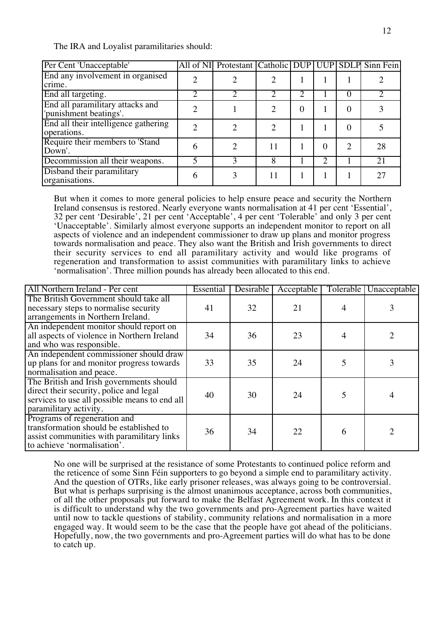The IRA and Loyalist paramilitaries should:

| Per Cent 'Unacceptable'                                    | All of NI Protestant Catholic DUP UUP SDLP Sinn Fein |    |   |   |                             |    |
|------------------------------------------------------------|------------------------------------------------------|----|---|---|-----------------------------|----|
| End any involvement in organised<br>crime.                 |                                                      |    |   |   |                             |    |
| End all targeting.                                         |                                                      |    |   |   |                             |    |
| End all paramilitary attacks and<br>'punishment beatings'. |                                                      |    | 0 |   | 0                           |    |
| End all their intelligence gathering<br>operations.        |                                                      |    |   |   | 0                           |    |
| Require their members to 'Stand<br>Down'.                  | ∍                                                    | 11 |   |   | $\mathcal{D}_{\mathcal{L}}$ | 28 |
| Decommission all their weapons.                            |                                                      | 8  |   | っ |                             | 21 |
| Disband their paramilitary<br>organisations.               |                                                      | 11 |   |   |                             | 27 |

But when it comes to more general policies to help ensure peace and security the Northern Ireland consensus is restored. Nearly everyone wants normalisation at 41 per cent 'Essential', 32 per cent 'Desirable', 21 per cent 'Acceptable', 4 per cent 'Tolerable' and only 3 per cent 'Unacceptable'. Similarly almost everyone supports an independent monitor to report on all aspects of violence and an independent commissioner to draw up plans and monitor progress towards normalisation and peace. They also want the British and Irish governments to direct their security services to end all paramilitary activity and would like programs of regeneration and transformation to assist communities with paramilitary links to achieve 'normalisation'. Three million pounds has already been allocated to this end.

| All Northern Ireland - Per cent                                                                                                                                | Essential | <b>Desirable</b> | Acceptable | Tolerable | Unacceptable                |
|----------------------------------------------------------------------------------------------------------------------------------------------------------------|-----------|------------------|------------|-----------|-----------------------------|
| The British Government should take all<br>necessary steps to normalise security<br>arrangements in Northern Ireland.                                           | 41        | 32               | 21         |           |                             |
| An independent monitor should report on<br>all aspects of violence in Northern Ireland<br>and who was responsible.                                             | 34        | 36               | 23         |           |                             |
| An independent commissioner should draw<br>up plans for and monitor progress towards<br>normalisation and peace.                                               | 33        | 35               | 24         |           |                             |
| The British and Irish governments should<br>direct their security, police and legal<br>services to use all possible means to end all<br>paramilitary activity. | 40        | 30               | 24         | 5         |                             |
| Programs of regeneration and<br>transformation should be established to<br>assist communities with paramilitary links<br>to achieve 'normalisation'.           | 36        | 34               | 22         | 6         | $\mathcal{D}_{\mathcal{A}}$ |

No one will be surprised at the resistance of some Protestants to continued police reform and the reticence of some Sinn Féin supporters to go beyond a simple end to paramilitary activity. And the question of OTRs, like early prisoner releases, was always going to be controversial. But what is perhaps surprising is the almost unanimous acceptance, across both communities, of all the other proposals put forward to make the Belfast Agreement work. In this context it is difficult to understand why the two governments and pro-Agreement parties have waited until now to tackle questions of stability, community relations and normalisation in a more engaged way. It would seem to be the case that the people have got ahead of the politicians. Hopefully, now, the two governments and pro-Agreement parties will do what has to be done to catch up.